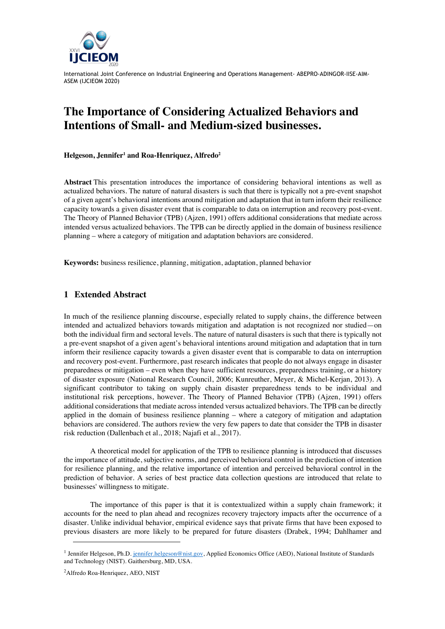

## **The Importance of Considering Actualized Behaviors and Intentions of Small- and Medium-sized businesses.**

**Helgeson, Jennifer1 and Roa-Henriquez, Alfredo2**

**Abstract** This presentation introduces the importance of considering behavioral intentions as well as actualized behaviors. The nature of natural disasters is such that there is typically not a pre-event snapshot of a given agent's behavioral intentions around mitigation and adaptation that in turn inform their resilience capacity towards a given disaster event that is comparable to data on interruption and recovery post-event. The Theory of Planned Behavior (TPB) (Ajzen, 1991) offers additional considerations that mediate across intended versus actualized behaviors. The TPB can be directly applied in the domain of business resilience planning – where a category of mitigation and adaptation behaviors are considered.

**Keywords:** business resilience, planning, mitigation, adaptation, planned behavior

## **1 Extended Abstract**

In much of the resilience planning discourse, especially related to supply chains, the difference between intended and actualized behaviors towards mitigation and adaptation is not recognized nor studied—on both the individual firm and sectoral levels. The nature of natural disasters is such that there is typically not a pre-event snapshot of a given agent's behavioral intentions around mitigation and adaptation that in turn inform their resilience capacity towards a given disaster event that is comparable to data on interruption and recovery post-event. Furthermore, past research indicates that people do not always engage in disaster preparedness or mitigation – even when they have sufficient resources, preparedness training, or a history of disaster exposure (National Research Council, 2006; Kunreuther, Meyer, & Michel-Kerjan, 2013). A significant contributor to taking on supply chain disaster preparedness tends to be individual and institutional risk perceptions, however. The Theory of Planned Behavior (TPB) (Ajzen, 1991) offers additional considerations that mediate across intended versus actualized behaviors. The TPB can be directly applied in the domain of business resilience planning – where a category of mitigation and adaptation behaviors are considered. The authors review the very few papers to date that consider the TPB in disaster risk reduction (Dallenbach et al., 2018; Najafi et al., 2017).

A theoretical model for application of the TPB to resilience planning is introduced that discusses the importance of attitude, subjective norms, and perceived behavioral control in the prediction of intention for resilience planning, and the relative importance of intention and perceived behavioral control in the prediction of behavior. A series of best practice data collection questions are introduced that relate to businesses' willingness to mitigate.

The importance of this paper is that it is contextualized within a supply chain framework; it accounts for the need to plan ahead and recognizes recovery trajectory impacts after the occurrence of a disaster. Unlike individual behavior, empirical evidence says that private firms that have been exposed to previous disasters are more likely to be prepared for future disasters (Drabek, 1994; Dahlhamer and

<sup>&</sup>lt;sup>1</sup> Jennifer Helgeson, Ph.D. jennifer.helgeson@nist.gov, Applied Economics Office (AEO), National Institute of Standards and Technology (NIST). Gaithersburg, MD, USA.

<sup>2</sup>Alfredo Roa-Henriquez, AEO, NIST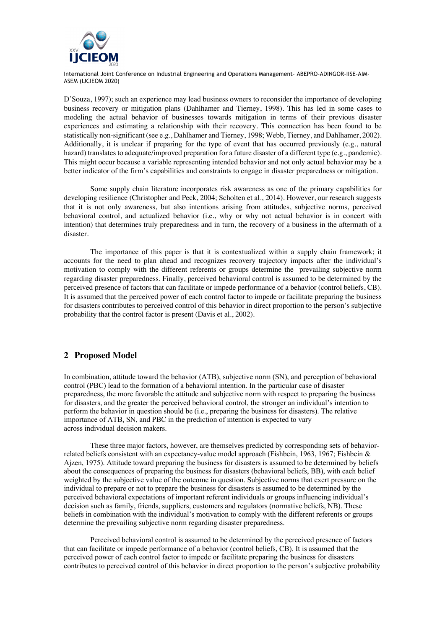

D'Souza, 1997); such an experience may lead business owners to reconsider the importance of developing business recovery or mitigation plans (Dahlhamer and Tierney, 1998). This has led in some cases to modeling the actual behavior of businesses towards mitigation in terms of their previous disaster experiences and estimating a relationship with their recovery. This connection has been found to be statistically non-significant (see e.g., Dahlhamer and Tierney, 1998; Webb, Tierney, and Dahlhamer, 2002). Additionally, it is unclear if preparing for the type of event that has occurred previously (e.g., natural hazard) translates to adequate/improved preparation for a future disaster of a different type (e.g., pandemic). This might occur because a variable representing intended behavior and not only actual behavior may be a better indicator of the firm's capabilities and constraints to engage in disaster preparedness or mitigation.

Some supply chain literature incorporates risk awareness as one of the primary capabilities for developing resilience (Christopher and Peck, 2004; Scholten et al., 2014). However, our research suggests that it is not only awareness, but also intentions arising from attitudes, subjective norms, perceived behavioral control, and actualized behavior (i.e., why or why not actual behavior is in concert with intention) that determines truly preparedness and in turn, the recovery of a business in the aftermath of a disaster.

The importance of this paper is that it is contextualized within a supply chain framework; it accounts for the need to plan ahead and recognizes recovery trajectory impacts after the individual's motivation to comply with the different referents or groups determine the prevailing subjective norm regarding disaster preparedness. Finally, perceived behavioral control is assumed to be determined by the perceived presence of factors that can facilitate or impede performance of a behavior (control beliefs, CB). It is assumed that the perceived power of each control factor to impede or facilitate preparing the business for disasters contributes to perceived control of this behavior in direct proportion to the person's subjective probability that the control factor is present (Davis et al., 2002).

## **2 Proposed Model**

In combination, attitude toward the behavior (ATB), subjective norm (SN), and perception of behavioral control (PBC) lead to the formation of a behavioral intention. In the particular case of disaster preparedness, the more favorable the attitude and subjective norm with respect to preparing the business for disasters, and the greater the perceived behavioral control, the stronger an individual's intention to perform the behavior in question should be (i.e., preparing the business for disasters). The relative importance of ATB, SN, and PBC in the prediction of intention is expected to vary across individual decision makers.

These three major factors, however, are themselves predicted by corresponding sets of behaviorrelated beliefs consistent with an expectancy-value model approach (Fishbein, 1963, 1967; Fishbein & Ajzen, 1975). Attitude toward preparing the business for disasters is assumed to be determined by beliefs about the consequences of preparing the business for disasters (behavioral beliefs, BB), with each belief weighted by the subjective value of the outcome in question. Subjective norms that exert pressure on the individual to prepare or not to prepare the business for disasters is assumed to be determined by the perceived behavioral expectations of important referent individuals or groups influencing individual's decision such as family, friends, suppliers, customers and regulators (normative beliefs, NB). These beliefs in combination with the individual's motivation to comply with the different referents or groups determine the prevailing subjective norm regarding disaster preparedness.

Perceived behavioral control is assumed to be determined by the perceived presence of factors that can facilitate or impede performance of a behavior (control beliefs, CB). It is assumed that the perceived power of each control factor to impede or facilitate preparing the business for disasters contributes to perceived control of this behavior in direct proportion to the person's subjective probability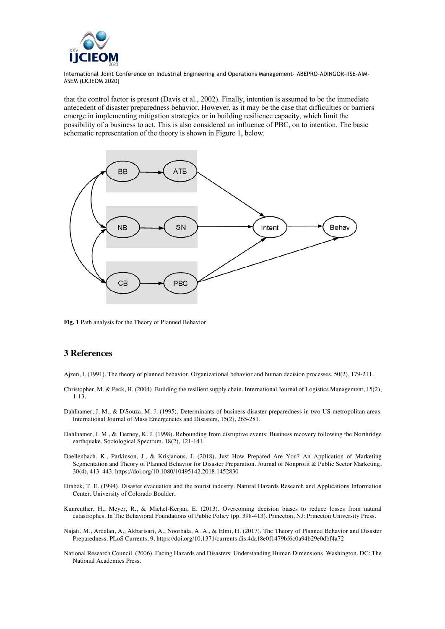

that the control factor is present (Davis et al., 2002). Finally, intention is assumed to be the immediate antecedent of disaster preparedness behavior. However, as it may be the case that difficulties or barriers emerge in implementing mitigation strategies or in building resilience capacity, which limit the possibility of a business to act. This is also considered an influence of PBC, on to intention. The basic schematic representation of the theory is shown in Figure 1, below.



**Fig. 1** Path analysis for the Theory of Planned Behavior.

## **3 References**

Ajzen, I. (1991). The theory of planned behavior. Organizational behavior and human decision processes, 50(2), 179-211.

- Christopher, M. & Peck, H. (2004). Building the resilient supply chain. International Journal of Logistics Management, 15(2), 1-13.
- Dahlhamer, J. M., & D'Souza, M. J. (1995). Determinants of business disaster preparedness in two US metropolitan areas. International Journal of Mass Emergencies and Disasters, 15(2), 265-281.
- Dahlhamer, J. M., & Tierney, K. J. (1998). Rebounding from disruptive events: Business recovery following the Northridge earthquake. Sociological Spectrum, 18(2), 121-141.
- Daellenbach, K., Parkinson, J., & Krisjanous, J. (2018). Just How Prepared Are You? An Application of Marketing Segmentation and Theory of Planned Behavior for Disaster Preparation. Journal of Nonprofit & Public Sector Marketing, 30(4), 413–443. https://doi.org/10.1080/10495142.2018.1452830
- Drabek, T. E. (1994). Disaster evacuation and the tourist industry. Natural Hazards Research and Applications Information Center, University of Colorado Boulder.
- Kunreuther, H., Meyer, R., & Michel-Kerjan, E. (2013). Overcoming decision biases to reduce losses from natural catastrophes. In The Behavioral Foundations of Public Policy (pp. 398-413). Princeton, NJ: Princeton University Press.
- Najafi, M., Ardalan, A., Akbarisari, A., Noorbala, A. A., & Elmi, H. (2017). The Theory of Planned Behavior and Disaster Preparedness. PLoS Currents, 9. https://doi.org/10.1371/currents.dis.4da18e0f1479bf6c0a94b29e0dbf4a72
- National Research Council. (2006). Facing Hazards and Disasters: Understanding Human Dimensions. Washington, DC: The National Academies Press.